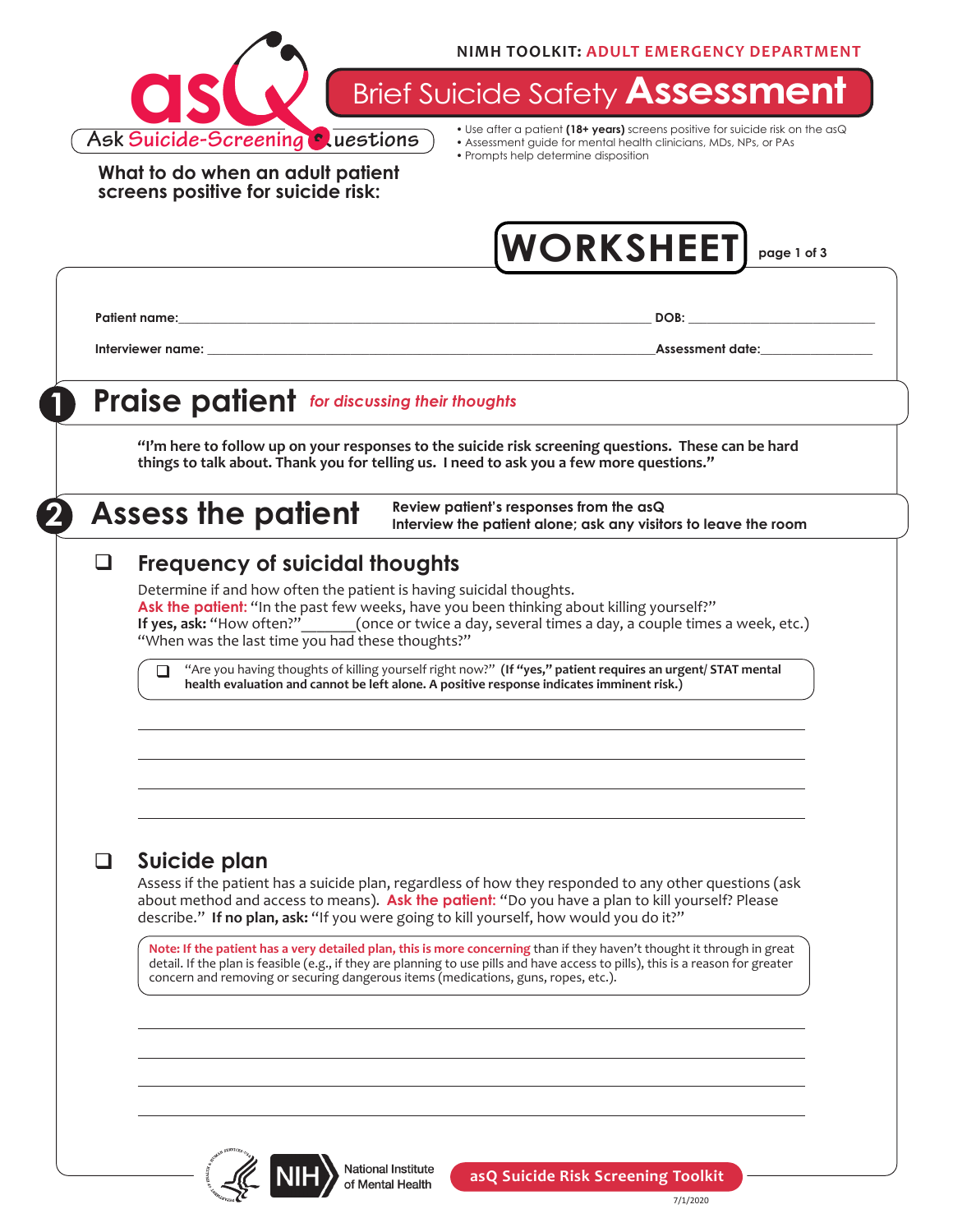

**Brief Suicide Safety Assessmer** 

**What to do when an adult patient screens positive for suicide risk:**

• Use after a patient **(18+ years)** screens positive for suicide risk on the asQ • Assessment guide for mental health clinicians, MDs, NPs, or PAs

• Prompts help determine disposition

**WORKSHEET page 1 of 3**

**Patient name:\_\_\_\_\_\_\_\_\_\_\_\_\_\_\_\_\_\_\_\_\_\_\_\_\_\_\_\_\_\_\_\_\_\_\_\_\_\_\_\_\_\_\_\_\_\_\_\_\_\_\_\_\_\_\_\_\_\_\_\_\_\_\_\_\_\_\_\_\_\_\_\_\_\_\_\_ DOB: \_\_\_\_\_\_\_\_\_\_\_\_\_\_\_\_\_\_\_\_\_\_\_\_\_\_\_\_\_\_**

**Interviewer name: and the set of the set of the set of the set of the set of the set of the set of the set of the set of the set of the set of the set of the set of the set of the set of the set of the set of the set of** 

## **1 Praise patient** *for discussing their thoughts*

**"I'm here to follow up on your responses to the suicide risk screening questions. These can be hard things to talk about. Thank you for telling us. I need to ask you a few more questions."**

**Assess the patient** Review patient's responses from the asQ *Review patient's responses from the asQ* **Interview the patient alone; ask any visitors to leave the room**

#### **Frequency of suicidal thoughts**  $\Box$

Determine if and how often the patient is having suicidal thoughts. **Ask the patient:** "In the past few weeks, have you been thinking about killing yourself?"<br>If yes, ask: "How often?"\_\_\_\_\_\_(once or twice a day, several times a day, a couple times (once or twice a day, several times a day, a couple times a week, etc.) "When was the last time you had these thoughts?"

"Are you having thoughts of killing yourself right now?" **(If "yes," patient requires an urgent/ STAT mental health evaluation and cannot be left alone. A positive response indicates imminent risk.)**  $\Box$ 

### q **Suicide plan**

Assess if the patient has a suicide plan, regardless of how they responded to any other questions (ask about method and access to means). **Ask the patient:** "Do you have a plan to kill yourself? Please describe." **If no plan, ask:** "If you were going to kill yourself, how would you do it?"

**Note: If the patient has a very detailed plan, this is more concerning** than if they haven't thought it through in great detail. If the plan is feasible (e.g., if they are planning to use pills and have access to pills), this is a reason for greater concern and removing or securing dangerous items (medications, guns, ropes, etc.).



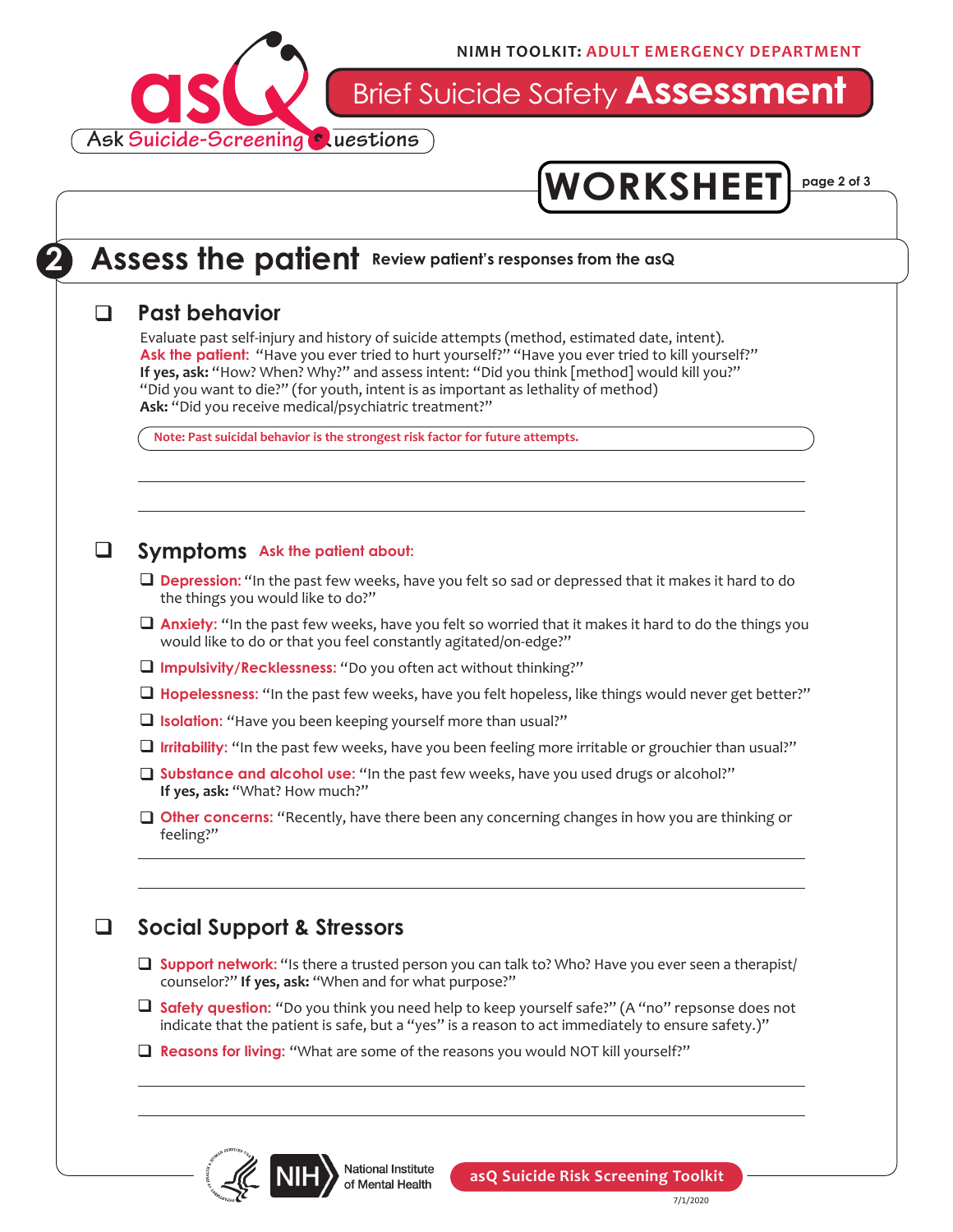

Brief Suicide Safety **Assessment**



## **2** Assess the patient Review patient's responses from the asQ

#### q **Past behavior**

Evaluate past self-injury and history of suicide attempts (method, estimated date, intent). Ask the patient: "Have you ever tried to hurt yourself?" "Have you ever tried to kill yourself?" **If yes, ask:** "How? When? Why?" and assess intent: "Did you think [method] would kill you?" "Did you want to die?" (for youth, intent is as important as lethality of method) **Ask:** "Did you receive medical/psychiatric treatment?"

**Note: Past suicidal behavior is the strongest risk factor for future attempts.** 

#### **a** Symptoms Ask the patient about:

- **Depression:** "In the past few weeks, have you felt so sad or depressed that it makes it hard to do the things you would like to do?"
- **Anxiety:** "In the past few weeks, have you felt so worried that it makes it hard to do the things you would like to do or that you feel constantly agitated/on-edge?"
- **Q** Impulsivity/Recklessness: "Do you often act without thinking?"
- □ Hopelessness: "In the past few weeks, have you felt hopeless, like things would never get better?"
- **Isolation:** "Have you been keeping yourself more than usual?"
- **I** Irritability: "In the past few weeks, have you been feeling more irritable or grouchier than usual?"
- **Substance and alcohol use:** "In the past few weeks, have you used drugs or alcohol?" **If yes, ask:** "What? How much?"
- **Other concerns:** "Recently, have there been any concerning changes in how you are thinking or feeling?"

### q **Social Support & Stressors**

- **Support network:** "Is there a trusted person you can talk to? Who? Have you ever seen a therapist/ counselor?" **If yes, ask:** "When and for what purpose?"
- Safety question: "Do you think you need help to keep yourself safe?" (A "no" repsonse does not indicate that the patient is safe, but a "yes" is a reason to act immediately to ensure safety.)"
- **Reasons for living:** "What are some of the reasons you would NOT kill yourself?"